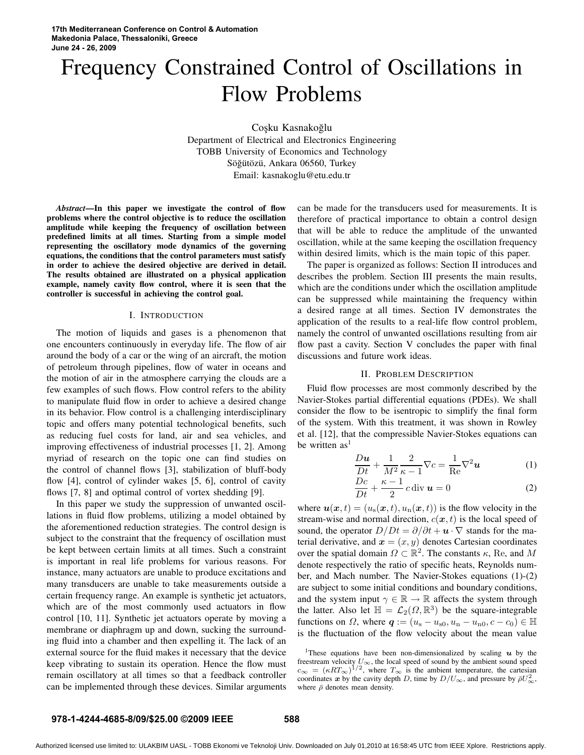# Frequency Constrained Control of Oscillations in Flow Problems

Cosku Kasnakoğlu Department of Electrical and Electronics Engineering TOBB University of Economics and Technology Söğütözü, Ankara 06560, Turkey Email: kasnakoglu@etu.edu.tr

*Abstract***—In this paper we investigate the control of flow problems where the control objective is to reduce the oscillation amplitude while keeping the frequency of oscillation between predefined limits at all times. Starting from a simple model representing the oscillatory mode dynamics of the governing equations, the conditions that the control parameters must satisfy in order to achieve the desired objective are derived in detail. The results obtained are illustrated on a physical application example, namely cavity flow control, where it is seen that the controller is successful in achieving the control goal.**

#### I. INTRODUCTION

The motion of liquids and gases is a phenomenon that one encounters continuously in everyday life. The flow of air around the body of a car or the wing of an aircraft, the motion of petroleum through pipelines, flow of water in oceans and the motion of air in the atmosphere carrying the clouds are a few examples of such flows. Flow control refers to the ability to manipulate fluid flow in order to achieve a desired change in its behavior. Flow control is a challenging interdisciplinary topic and offers many potential technological benefits, such as reducing fuel costs for land, air and sea vehicles, and improving effectiveness of industrial processes [1, 2]. Among myriad of research on the topic one can find studies on the control of channel flows [3], stabilization of bluff-body flow [4], control of cylinder wakes [5, 6], control of cavity flows [7, 8] and optimal control of vortex shedding [9].

In this paper we study the suppression of unwanted oscillations in fluid flow problems, utilizing a model obtained by the aforementioned reduction strategies. The control design is subject to the constraint that the frequency of oscillation must be kept between certain limits at all times. Such a constraint is important in real life problems for various reasons. For instance, many actuators are unable to produce excitations and many transducers are unable to take measurements outside a certain frequency range. An example is synthetic jet actuators, which are of the most commonly used actuators in flow control [10, 11]. Synthetic jet actuators operate by moving a membrane or diaphragm up and down, sucking the surrounding fluid into a chamber and then expelling it. The lack of an external source for the fluid makes it necessary that the device keep vibrating to sustain its operation. Hence the flow must remain oscillatory at all times so that a feedback controller can be implemented through these devices. Similar arguments

can be made for the transducers used for measurements. It is therefore of practical importance to obtain a control design that will be able to reduce the amplitude of the unwanted oscillation, while at the same keeping the oscillation frequency within desired limits, which is the main topic of this paper.

The paper is organized as follows: Section II introduces and describes the problem. Section III presents the main results, which are the conditions under which the oscillation amplitude can be suppressed while maintaining the frequency within a desired range at all times. Section IV demonstrates the application of the results to a real-life flow control problem, namely the control of unwanted oscillations resulting from air flow past a cavity. Section V concludes the paper with final discussions and future work ideas.

## II. PROBLEM DESCRIPTION

Fluid flow processes are most commonly described by the Navier-Stokes partial differential equations (PDEs). We shall consider the flow to be isentropic to simplify the final form of the system. With this treatment, it was shown in Rowley et al. [12], that the compressible Navier-Stokes equations can be written as<sup>1</sup>

$$
\frac{D\mathbf{u}}{Dt} + \frac{1}{M^2} \frac{2}{\kappa - 1} \nabla c = \frac{1}{\text{Re}} \nabla^2 \mathbf{u}
$$
 (1)

$$
\frac{Dc}{Dt} + \frac{\kappa - 1}{2} c \operatorname{div} \mathbf{u} = 0 \tag{2}
$$

where  $u(x,t) = (u_s(x,t), u_n(x,t))$  is the flow velocity in the stream-wise and normal direction,  $c(x, t)$  is the local speed of sound, the operator  $D/Dt = \partial/\partial t + \mathbf{u} \cdot \nabla$  stands for the material derivative, and  $x = (x, y)$  denotes Cartesian coordinates over the spatial domain  $\Omega \subset \mathbb{R}^2$ . The constants  $\kappa$ , Re, and M denote respectively the ratio of specific heats, Reynolds number, and Mach number. The Navier-Stokes equations (1)-(2) are subject to some initial conditions and boundary conditions, and the system input  $\gamma \in \mathbb{R} \to \mathbb{R}$  affects the system through the latter. Also let  $\mathbb{H} = \mathcal{L}_2(\Omega, \mathbb{R}^3)$  be the square-integrable functions on  $\Omega$ , where  $q := (u_s - u_{s0}, u_n - u_{n0}, c - c_0) \in \mathbb{H}$ is the fluctuation of the flow velocity about the mean value

<sup>&</sup>lt;sup>1</sup>These equations have been non-dimensionalized by scaling  $\boldsymbol{u}$  by the freestream velocity  $U_{\infty}$ , the local speed of sound by the ambient sound speed  $c_{\infty} = (\kappa RT_{\infty})^{1/2}$ , where  $T_{\infty}$  is the ambient temperature, the cartesian coordinates x by the cavity depth D, time by  $D/U_{\infty}$ , and pressure by  $\bar{\rho}U_{\infty}^2$ , where  $\bar{\rho}$  denotes mean density.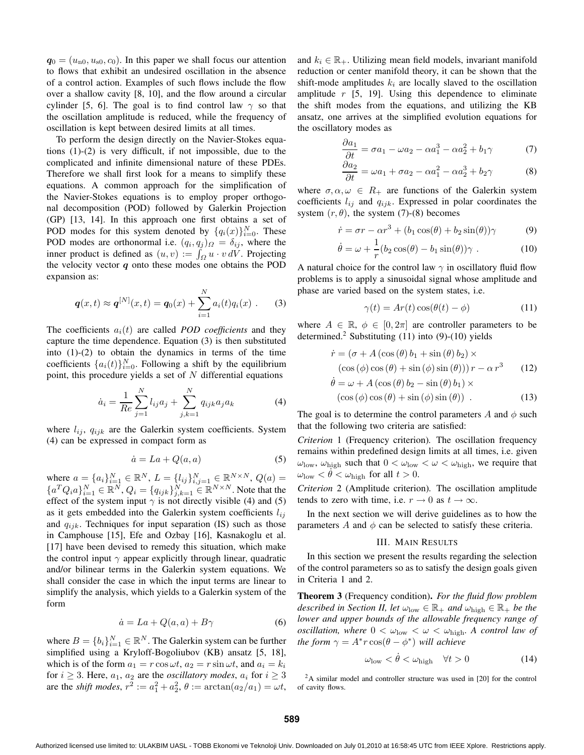$q_0 = (u_{n0}, u_{s0}, c_0)$ . In this paper we shall focus our attention to flows that exhibit an undesired oscillation in the absence of a control action. Examples of such flows include the flow over a shallow cavity [8, 10], and the flow around a circular cylinder [5, 6]. The goal is to find control law  $\gamma$  so that the oscillation amplitude is reduced, while the frequency of oscillation is kept between desired limits at all times.

To perform the design directly on the Navier-Stokes equations (1)-(2) is very difficult, if not impossible, due to the complicated and infinite dimensional nature of these PDEs. Therefore we shall first look for a means to simplify these equations. A common approach for the simplification of the Navier-Stokes equations is to employ proper orthogonal decomposition (POD) followed by Galerkin Projection (GP) [13, 14]. In this approach one first obtains a set of POD modes for this system denoted by  $\{q_i(x)\}_{i=0}^N$ . These POD modes are orthonormal i.e.  $(q_i, q_j)_{\Omega} = \delta_{ij}$ , where the inner product is defined as  $(u, v) := \int_{\Omega} u \cdot v dV$ . Projecting the velocity vector  $q$  onto these modes one obtains the POD expansion as:

$$
\mathbf{q}(x,t) \approx \mathbf{q}^{[N]}(x,t) = \mathbf{q}_0(x) + \sum_{i=1}^{N} a_i(t) q_i(x) . \quad (3)
$$

The coefficients  $a_i(t)$  are called *POD coefficients* and they capture the time dependence. Equation (3) is then substituted into (1)-(2) to obtain the dynamics in terms of the time coefficients  $\{a_i(t)\}_{i=0}^N$ . Following a shift by the equilibrium point, this procedure yields a set of  $N$  differential equations

$$
\dot{a}_i = \frac{1}{Re} \sum_{j=1}^{N} l_{ij} a_j + \sum_{j,k=1}^{N} q_{ijk} a_j a_k
$$
 (4)

where  $l_{ij}$ ,  $q_{ijk}$  are the Galerkin system coefficients. System (4) can be expressed in compact form as

$$
\dot{a} = La + Q(a, a) \tag{5}
$$

where  $a = \{a_i\}_{i=1}^N \in \mathbb{R}^N$ ,  $L = \{l_{ij}\}_{i,j=1}^N \in \mathbb{R}^{N \times N}$ ,  $Q(a) =$  ${a^T Q_i a}_{i=1}^N \in \mathbb{R}^N$ ,  $Q_i = {q_{ijk}}_{j,k=1}^N \in \mathbb{R}^{N \times N}$ . Note that the effect of the system input  $\gamma$  is not directly visible (4) and (5) as it gets embedded into the Galerkin system coefficients  $l_{ij}$ and  $q_{ijk}$ . Techniques for input separation (IS) such as those in Camphouse [15], Efe and Ozbay [16], Kasnakoglu et al. [17] have been devised to remedy this situation, which make the control input  $\gamma$  appear explicitly through linear, quadratic and/or bilinear terms in the Galerkin system equations. We shall consider the case in which the input terms are linear to simplify the analysis, which yields to a Galerkin system of the form

$$
\dot{a} = La + Q(a, a) + B\gamma \tag{6}
$$

where  $B = \{b_i\}_{i=1}^N \in \mathbb{R}^N$ . The Galerkin system can be further simplified using a Kryloff-Bogoliubov (KB) ansatz [5, 18], which is of the form  $a_1 = r \cos \omega t$ ,  $a_2 = r \sin \omega t$ , and  $a_i = k_i$ for  $i \geq 3$ . Here,  $a_1$ ,  $a_2$  are the *oscillatory* modes,  $a_i$  for  $i \geq 3$ are the *shift modes*,  $r^2 := a_1^2 + a_2^2$ ,  $\theta := \arctan(a_2/a_1) = \omega t$ , and  $k_i \in \mathbb{R}_+$ . Utilizing mean field models, invariant manifold reduction or center manifold theory, it can be shown that the shift-mode amplitudes  $k_i$  are locally slaved to the oscillation amplitude  $r$  [5, 19]. Using this dependence to eliminate the shift modes from the equations, and utilizing the KB ansatz, one arrives at the simplified evolution equations for the oscillatory modes as

$$
\frac{\partial a_1}{\partial t} = \sigma a_1 - \omega a_2 - \alpha a_1^3 - \alpha a_2^2 + b_1 \gamma \tag{7}
$$

$$
\frac{\partial a_2}{\partial t} = \omega a_1 + \sigma a_2 - \alpha a_1^2 - \alpha a_2^3 + b_2 \gamma \tag{8}
$$

where  $\sigma, \alpha, \omega \in R_+$  are functions of the Galerkin system coefficients  $l_{ij}$  and  $q_{ijk}$ . Expressed in polar coordinates the system  $(r, \theta)$ , the system (7)-(8) becomes

$$
\dot{r} = \sigma r - \alpha r^3 + (b_1 \cos(\theta) + b_2 \sin(\theta))\gamma \tag{9}
$$

$$
\dot{\theta} = \omega + \frac{1}{r} (b_2 \cos(\theta) - b_1 \sin(\theta)) \gamma . \qquad (10)
$$

A natural choice for the control law  $\gamma$  in oscillatory fluid flow problems is to apply a sinusoidal signal whose amplitude and phase are varied based on the system states, i.e.

$$
\gamma(t) = Ar(t)\cos(\theta(t) - \phi) \tag{11}
$$

where  $A \in \mathbb{R}$ ,  $\phi \in [0, 2\pi]$  are controller parameters to be determined. <sup>2</sup> Substituting (11) into (9)-(10) yields

$$
\dot{r} = (\sigma + A(\cos(\theta) b_1 + \sin(\theta) b_2) \times
$$
  
\n
$$
(\cos(\phi)\cos(\theta) + \sin(\phi)\sin(\theta)))r - \alpha r^3
$$
\n
$$
\dot{\theta} = \omega + A(\cos(\theta) b_2 - \sin(\theta) b_1) \times
$$
  
\n
$$
(\cos(\phi)\cos(\theta) + \sin(\phi)\sin(\theta)).
$$
\n(13)

The goal is to determine the control parameters A and  $\phi$  such that the following two criteria are satisfied:

*Criterion* 1 (Frequency criterion)*.* The oscillation frequency remains within predefined design limits at all times, i.e. given  $\omega_{\rm low}$ ,  $\omega_{\rm high}$  such that  $0 < \omega_{\rm low} < \omega < \omega_{\rm high}$ , we require that  $\omega_{\text{low}} < \theta < \omega_{\text{high}}$  for all  $t > 0$ .

*Criterion* 2 (Amplitude criterion)*.* The oscillation amplitude tends to zero with time, i.e.  $r \to 0$  as  $t \to \infty$ .

In the next section we will derive guidelines as to how the parameters A and  $\phi$  can be selected to satisfy these criteria.

### III. MAIN RESULTS

In this section we present the results regarding the selection of the control parameters so as to satisfy the design goals given in Criteria 1 and 2.

**Theorem 3** (Frequency condition)**.** *For the fluid flow problem described in Section II, let*  $\omega_{\text{low}} \in \mathbb{R}_+$  *and*  $\omega_{\text{high}} \in \mathbb{R}_+$  *be the lower and upper bounds of the allowable frequency range of oscillation, where*  $0 < \omega_{\text{low}} < \omega < \omega_{\text{high}}$ . *A control law of the form*  $\gamma = A^* r \cos(\theta - \phi^*)$  *will achieve* 

$$
\omega_{\text{low}} < \dot{\theta} < \omega_{\text{high}} \quad \forall t > 0 \tag{14}
$$

<sup>2</sup>A similar model and controller structure was used in [20] for the control of cavity flows.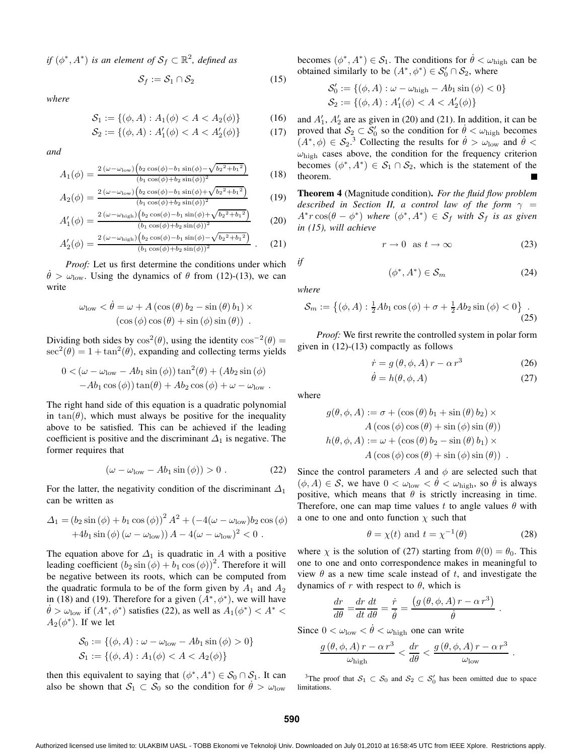*if*  $(\phi^*, A^*)$  *is an element of*  $S_f \subset \mathbb{R}^2$ *, defined as* 

$$
\mathcal{S}_f := \mathcal{S}_1 \cap \mathcal{S}_2 \tag{15}
$$

*where*

$$
S_1 := \{ (\phi, A) : A_1(\phi) < A < A_2(\phi) \} \tag{16}
$$

$$
S_2 := \{ (\phi, A) : A'_1(\phi) < A < A'_2(\phi) \} \tag{17}
$$

*and*

$$
A_1(\phi) = \frac{2(\omega - \omega_{\text{low}}) \left(b_2 \cos(\phi) - b_1 \sin(\phi) - \sqrt{b_2^2 + b_1^2}\right)}{(b_1 \cos(\phi) + b_2 \sin(\phi))^2} \tag{18}
$$

$$
A_2(\phi) = \frac{2(\omega - \omega_{\text{low}}) \left(b_2 \cos(\phi) - b_1 \sin(\phi) + \sqrt{b_2^2 + b_1^2}\right)}{(b_1 \cos(\phi) + b_2 \sin(\phi))^2}
$$
(19)

$$
A'_1(\phi) = \frac{2(\omega - \omega_{\text{high}}) \left(b_2 \cos(\phi) - b_1 \sin(\phi) + \sqrt{b_2^2 + b_1^2}\right)}{(b_1 \cos(\phi) + b_2 \sin(\phi))^2} \tag{20}
$$

$$
A_2'(\phi) = \frac{2(\omega - \omega_{\text{high}}) \left(b_2 \cos(\phi) - b_1 \sin(\phi) - \sqrt{b_2^2 + b_1^2}\right)}{(b_1 \cos(\phi) + b_2 \sin(\phi))^2} \ . \tag{21}
$$

*Proof:* Let us first determine the conditions under which  $\theta > \omega_{\text{low}}$ . Using the dynamics of  $\theta$  from (12)-(13), we can write

$$
\omega_{\text{low}} < \dot{\theta} = \omega + A \left( \cos \left( \theta \right) b_2 - \sin \left( \theta \right) b_1 \right) \times \\ \left( \cos \left( \phi \right) \cos \left( \theta \right) + \sin \left( \phi \right) \sin \left( \theta \right) \right) \, .
$$

Dividing both sides by  $\cos^2(\theta)$ , using the identity  $\cos^{-2}(\theta) =$  $\sec^2(\theta) = 1 + \tan^2(\theta)$ , expanding and collecting terms yields

$$
0 < (\omega - \omega_{\text{low}} - Ab_1 \sin(\phi)) \tan^2(\theta) + (Ab_2 \sin(\phi) - Ab_1 \cos(\phi)) \tan(\theta) + Ab_2 \cos(\phi) + \omega - \omega_{\text{low}}.
$$

The right hand side of this equation is a quadratic polynomial in  $tan(\theta)$ , which must always be positive for the inequality above to be satisfied. This can be achieved if the leading coefficient is positive and the discriminant  $\Delta_1$  is negative. The former requires that

$$
(\omega - \omega_{\text{low}} - Ab_1 \sin(\phi)) > 0.
$$
 (22)

For the latter, the negativity condition of the discriminant  $\Delta_1$ can be written as

$$
\Delta_1 = (b_2 \sin (\phi) + b_1 \cos (\phi))^2 A^2 + (-4(\omega - \omega_{\text{low}})b_2 \cos (\phi) + 4b_1 \sin (\phi) (\omega - \omega_{\text{low}})) A - 4(\omega - \omega_{\text{low}})^2 < 0.
$$

The equation above for  $\Delta_1$  is quadratic in A with a positive leading coefficient  $(b_2 \sin (\phi) + b_1 \cos (\phi))^2$ . Therefore it will be negative between its roots, which can be computed from the quadratic formula to be of the form given by  $A_1$  and  $A_2$ in (18) and (19). Therefore for a given  $(A^*, \phi^*)$ , we will have  $\dot{\theta} > \omega_{\text{low}}$  if  $(A^*, \phi^*)$  satisfies (22), as well as  $A_1(\phi^*) < A^*$  $A_2(\phi^*)$ . If we let

$$
S_0 := \{ (\phi, A) : \omega - \omega_{\text{low}} - Ab_1 \sin(\phi) > 0 \}
$$
  

$$
S_1 := \{ (\phi, A) : A_1(\phi) < A < A_2(\phi) \}
$$

then this equivalent to saying that  $(\phi^*, A^*) \in S_0 \cap S_1$ . It can also be shown that  $S_1 \subset S_0$  so the condition for  $\dot{\theta} > \omega_{\text{low}}$ 

becomes  $(\phi^*, A^*) \in S_1$ . The conditions for  $\dot{\theta} < \omega_{\text{high}}$  can be obtained similarly to be  $(A^*, \phi^*) \in S'_0 \cap S_2$ , where

$$
\mathcal{S}'_0 := \{ (\phi, A) : \omega - \omega_{\text{high}} - Ab_1 \sin(\phi) < 0 \}
$$
\n
$$
\mathcal{S}_2 := \{ (\phi, A) : A'_1(\phi) < A < A'_2(\phi) \}
$$

and  $A'_1$ ,  $A'_2$  are as given in (20) and (21). In addition, it can be proved that  $S_2 \subset S'_0$  so the condition for  $\dot{\theta} < \omega_{\text{high}}$  becomes  $(A^*, \phi) \in S_2$ <sup>3</sup> Collecting the results for  $\dot{\theta} > \omega_{\text{low}}$  and  $\dot{\theta} <$  $\omega_{\text{high}}$  cases above, the condition for the frequency criterion becomes  $(\phi^*, A^*) \in S_1 \cap S_2$ , which is the statement of the theorem.

**Theorem 4** (Magnitude condition)**.** *For the fluid flow problem described in Section II, a control law of the form*  $\gamma$  =  $A^*r\cos(\theta - \phi^*)$  *where*  $(\phi^*, A^*) \in S_f$  *with*  $S_f$  *is as given in (15), will achieve*

$$
r \to 0 \quad \text{as } t \to \infty \tag{23}
$$

*if*

$$
(\phi^*, A^*) \in \mathcal{S}_m \tag{24}
$$

*where*

$$
S_m := \left\{ (\phi, A) : \frac{1}{2}Ab_1 \cos(\phi) + \sigma + \frac{1}{2}Ab_2 \sin(\phi) < 0 \right\} \tag{25}
$$

*Proof:* We first rewrite the controlled system in polar form given in (12)-(13) compactly as follows

$$
\dot{r} = g\left(\theta, \phi, A\right)r - \alpha r^3\tag{26}
$$

$$
\dot{\theta} = h(\theta, \phi, A) \tag{27}
$$

where

$$
g(\theta, \phi, A) := \sigma + (\cos(\theta) b_1 + \sin(\theta) b_2) \times
$$
  

$$
A (\cos(\phi) \cos(\theta) + \sin(\phi) \sin(\theta))
$$
  

$$
h(\theta, \phi, A) := \omega + (\cos(\theta) b_2 - \sin(\theta) b_1) \times
$$
  

$$
A (\cos(\phi) \cos(\theta) + \sin(\phi) \sin(\theta)) .
$$

Since the control parameters A and  $\phi$  are selected such that  $(\phi, A) \in S$ , we have  $0 < \omega_{\text{low}} < \dot{\theta} < \omega_{\text{high}}$ , so  $\dot{\theta}$  is always positive, which means that  $\theta$  is strictly increasing in time. Therefore, one can map time values t to angle values  $\theta$  with a one to one and onto function  $\chi$  such that

$$
\theta = \chi(t) \text{ and } t = \chi^{-1}(\theta) \tag{28}
$$

where  $\chi$  is the solution of (27) starting from  $\theta(0) = \theta_0$ . This one to one and onto correspondence makes in meaningful to view  $\theta$  as a new time scale instead of t, and investigate the dynamics of r with respect to  $\theta$ , which is

$$
\frac{dr}{d\theta} = \frac{dr}{dt}\frac{dt}{d\theta} = \frac{\dot{r}}{\dot{\theta}} = \frac{\left(g\left(\theta, \phi, A\right)r - \alpha r^3\right)}{\dot{\theta}}.
$$

Since  $0 < \omega_{\text{low}} < \dot{\theta} < \omega_{\text{high}}$  one can write

$$
\frac{g(\theta, \phi, A) r - \alpha r^3}{\omega_{\text{high}}} < \frac{dr}{d\theta} < \frac{g(\theta, \phi, A) r - \alpha r^3}{\omega_{\text{low}}}.
$$

<sup>3</sup>The proof that  $S_1 \subset S_0$  and  $S_2 \subset S_0'$  has been omitted due to space limitations.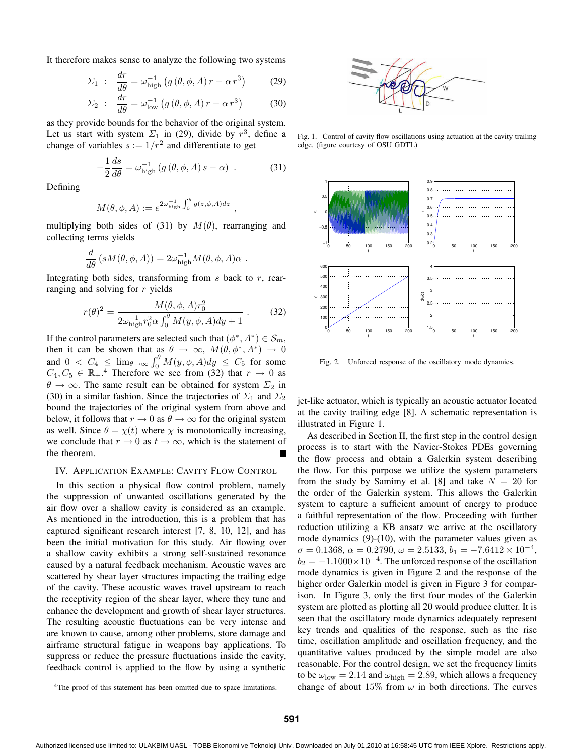It therefore makes sense to analyze the following two systems

$$
\Sigma_1 : \frac{dr}{d\theta} = \omega_{\text{high}}^{-1} \left( g \left( \theta, \phi, A \right) r - \alpha r^3 \right) \tag{29}
$$

$$
\Sigma_2 : \frac{dr}{d\theta} = \omega_{\text{low}}^{-1} \left( g \left( \theta, \phi, A \right) r - \alpha r^3 \right) \tag{30}
$$

as they provide bounds for the behavior of the original system. Let us start with system  $\Sigma_1$  in (29), divide by  $r^3$ , define a change of variables  $s := 1/r^2$  and differentiate to get

$$
-\frac{1}{2}\frac{ds}{d\theta} = \omega_{\text{high}}^{-1} \left( g\left(\theta, \phi, A\right) s - \alpha \right) . \tag{31}
$$

Defining

$$
M(\theta,\phi,A):=e^{2\omega_{\text{high}}^{-1}\int_0^\theta g(z,\phi,A)dz}\;,
$$

multiplying both sides of (31) by  $M(\theta)$ , rearranging and collecting terms yields

$$
\frac{d}{d\theta} \left( sM(\theta, \phi, A) \right) = 2\omega_{\text{high}}^{-1} M(\theta, \phi, A) \alpha.
$$

Integrating both sides, transforming from  $s$  back to  $r$ , rearranging and solving for r yields

$$
r(\theta)^2 = \frac{M(\theta, \phi, A)r_0^2}{2\omega_{\text{high}}^{-1}r_0^2\alpha \int_0^{\theta} M(y, \phi, A)dy + 1}.
$$
 (32)

If the control parameters are selected such that  $(\phi^*, A^*) \in \mathcal{S}_m$ , then it can be shown that as  $\theta \to \infty$ ,  $M(\theta, \phi^*, A^*) \to 0$ and  $0 < C_4 \leq \lim_{\theta \to \infty} \int_0^{\theta} M(y, \phi, A) dy \leq C_5$  for some  $C_4, C_5 \in \mathbb{R}_+$ .<sup>4</sup> Therefore we see from (32) that  $r \to 0$  as  $\theta \to \infty$ . The same result can be obtained for system  $\Sigma_2$  in (30) in a similar fashion. Since the trajectories of  $\Sigma_1$  and  $\Sigma_2$ bound the trajectories of the original system from above and below, it follows that  $r \to 0$  as  $\theta \to \infty$  for the original system as well. Since  $\theta = \chi(t)$  where  $\chi$  is monotonically increasing, we conclude that  $r \to 0$  as  $t \to \infty$ , which is the statement of the theorem.

## IV. APPLICATION EXAMPLE: CAVITY FLOW CONTROL

In this section a physical flow control problem, namely the suppression of unwanted oscillations generated by the air flow over a shallow cavity is considered as an example. As mentioned in the introduction, this is a problem that has captured significant research interest [7, 8, 10, 12], and has been the initial motivation for this study. Air flowing over a shallow cavity exhibits a strong self-sustained resonance caused by a natural feedback mechanism. Acoustic waves are scattered by shear layer structures impacting the trailing edge of the cavity. These acoustic waves travel upstream to reach the receptivity region of the shear layer, where they tune and enhance the development and growth of shear layer structures. The resulting acoustic fluctuations can be very intense and are known to cause, among other problems, store damage and airframe structural fatigue in weapons bay applications. To suppress or reduce the pressure fluctuations inside the cavity, feedback control is applied to the flow by using a synthetic





Fig. 1. Control of cavity flow oscillations using actuation at the cavity trailing edge. (figure courtesy of OSU GDTL)



Fig. 2. Unforced response of the oscillatory mode dynamics.

jet-like actuator, which is typically an acoustic actuator located at the cavity trailing edge [8]. A schematic representation is illustrated in Figure 1.

As described in Section II, the first step in the control design process is to start with the Navier-Stokes PDEs governing the flow process and obtain a Galerkin system describing the flow. For this purpose we utilize the system parameters from the study by Samimy et al. [8] and take  $N = 20$  for the order of the Galerkin system. This allows the Galerkin system to capture a sufficient amount of energy to produce a faithful representation of the flow. Proceeding with further reduction utilizing a KB ansatz we arrive at the oscillatory mode dynamics (9)-(10), with the parameter values given as  $\sigma = 0.1368, \alpha = 0.2790, \omega = 2.5133, b_1 = -7.6412 \times 10^{-4},$  $b_2 = -1.1000 \times 10^{-4}$ . The unforced response of the oscillation mode dynamics is given in Figure 2 and the response of the higher order Galerkin model is given in Figure 3 for comparison. In Figure 3, only the first four modes of the Galerkin system are plotted as plotting all 20 would produce clutter. It is seen that the oscillatory mode dynamics adequately represent key trends and qualities of the response, such as the rise time, oscillation amplitude and oscillation frequency, and the quantitative values produced by the simple model are also reasonable. For the control design, we set the frequency limits to be  $\omega_{\text{low}} = 2.14$  and  $\omega_{\text{high}} = 2.89$ , which allows a frequency change of about 15% from  $\omega$  in both directions. The curves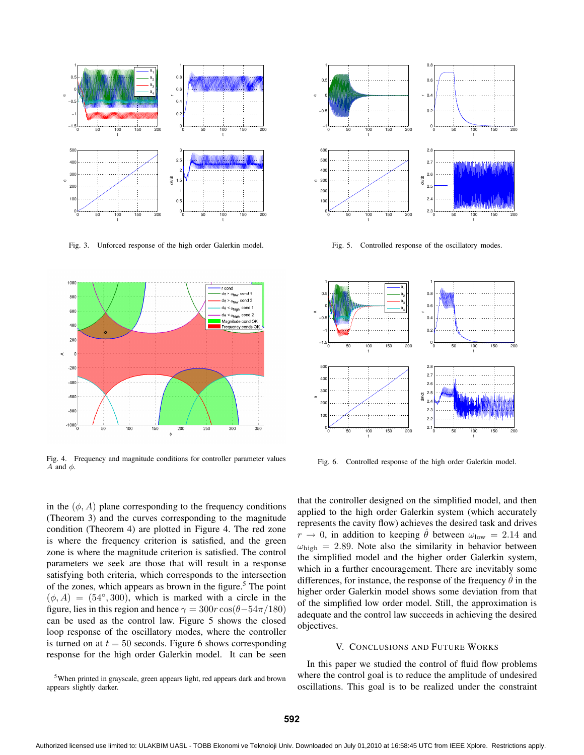

Fig. 3. Unforced response of the high order Galerkin model.



Fig. 4. Frequency and magnitude conditions for controller parameter values  $A$  and  $\phi$ .



<sup>5</sup>When printed in grayscale, green appears light, red appears dark and brown appears slightly darker.



Fig. 5. Controlled response of the oscillatory modes.



Fig. 6. Controlled response of the high order Galerkin model.

that the controller designed on the simplified model, and then applied to the high order Galerkin system (which accurately represents the cavity flow) achieves the desired task and drives  $r \rightarrow 0$ , in addition to keeping  $\dot{\theta}$  between  $\omega_{\text{low}} = 2.14$  and  $\omega_{\text{high}} = 2.89$ . Note also the similarity in behavior between the simplified model and the higher order Galerkin system, which in a further encouragement. There are inevitably some differences, for instance, the response of the frequency  $\dot{\theta}$  in the higher order Galerkin model shows some deviation from that of the simplified low order model. Still, the approximation is adequate and the control law succeeds in achieving the desired objectives.

## V. CONCLUSIONS AND FUTURE WORKS

In this paper we studied the control of fluid flow problems where the control goal is to reduce the amplitude of undesired oscillations. This goal is to be realized under the constraint